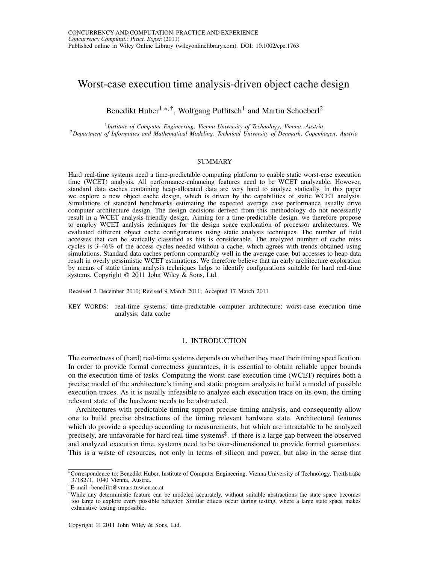# Worst-case execution time analysis-driven object cache design

Benedikt Huber<sup>1,∗,†</sup>, Wolfgang Puffitsch<sup>1</sup> and Martin Schoeberl<sup>2</sup>

<sup>1</sup>Institute of Computer Engineering, Vienna University of Technology, Vienna, Austria<br><sup>2</sup>Department of Informatics and Mathematical Modeling, Technical University of Denmark, Copenhagen, Austria

## SUMMARY

Hard real-time systems need a time-predictable computing platform to enable static worst-case execution time (WCET) analysis. All performance-enhancing features need to be WCET analyzable. However, standard data caches containing heap-allocated data are very hard to analyze statically. In this paper we explore a new object cache design, which is driven by the capabilities of static WCET analysis. Simulations of standard benchmarks estimating the expected average case performance usually drive computer architecture design. The design decisions derived from this methodology do not necessarily result in a WCET analysis-friendly design. Aiming for a time-predictable design, we therefore propose to employ WCET analysis techniques for the design space exploration of processor architectures. We evaluated different object cache configurations using static analysis techniques. The number of field accesses that can be statically classified as hits is considerable. The analyzed number of cache miss cycles is 3–46% of the access cycles needed without a cache, which agrees with trends obtained using simulations. Standard data caches perform comparably well in the average case, but accesses to heap data result in overly pessimistic WCET estimations. We therefore believe that an early architecture exploration by means of static timing analysis techniques helps to identify configurations suitable for hard real-time systems. Copyright © 2011 John Wiley & Sons, Ltd.

Received 2 December 2010; Revised 9 March 2011; Accepted 17 March 2011

KEY WORDS: real-time systems; time-predictable computer architecture; worst-case execution time analysis; data cache

# 1. INTRODUCTION

The correctness of (hard) real-time systems depends on whether they meet their timing specification. In order to provide formal correctness guarantees, it is essential to obtain reliable upper bounds on the execution time of tasks. Computing the worst-case execution time (WCET) requires both a precise model of the architecture's timing and static program analysis to build a model of possible execution traces. As it is usually infeasible to analyze each execution trace on its own, the timing relevant state of the hardware needs to be abstracted.

Architectures with predictable timing support precise timing analysis, and consequently allow one to build precise abstractions of the timing relevant hardware state. Architectural features which do provide a speedup according to measurements, but which are intractable to be analyzed precisely, are unfavorable for hard real-time systems $\ddot{\hat{i}}$ . If there is a large gap between the observed and analyzed execution time, systems need to be over-dimensioned to provide formal guarantees. This is a waste of resources, not only in terms of silicon and power, but also in the sense that

<sup>∗</sup>Correspondence to: Benedikt Huber, Institute of Computer Engineering, Vienna University of Technology, Treitlstraße 3*/*182*/*1, 1040 Vienna, Austria.

<sup>†</sup>E-mail: benedikt@vmars.tuwien.ac.at

<sup>‡</sup>While any deterministic feature can be modeled accurately, without suitable abstractions the state space becomes too large to explore every possible behavior. Similar effects occur during testing, where a large state space makes exhaustive testing impossible.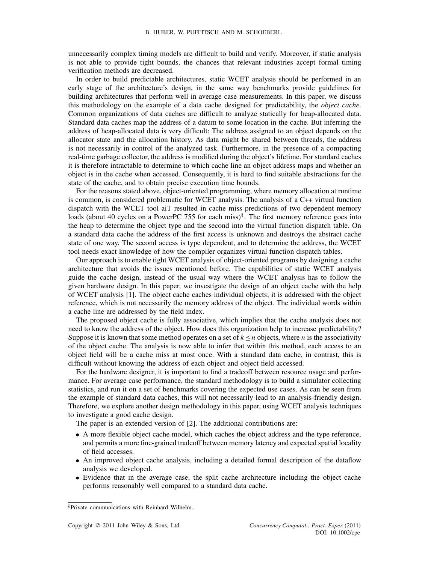unnecessarily complex timing models are difficult to build and verify. Moreover, if static analysis is not able to provide tight bounds, the chances that relevant industries accept formal timing verification methods are decreased.

In order to build predictable architectures, static WCET analysis should be performed in an early stage of the architecture's design, in the same way benchmarks provide guidelines for building architectures that perform well in average case measurements. In this paper, we discuss this methodology on the example of a data cache designed for predictability, the *object cache*. Common organizations of data caches are difficult to analyze statically for heap-allocated data. Standard data caches map the address of a datum to some location in the cache. But inferring the address of heap-allocated data is very difficult: The address assigned to an object depends on the allocator state and the allocation history. As data might be shared between threads, the address is not necessarily in control of the analyzed task. Furthermore, in the presence of a compacting real-time garbage collector, the address is modified during the object's lifetime. For standard caches it is therefore intractable to determine to which cache line an object address maps and whether an object is in the cache when accessed. Consequently, it is hard to find suitable abstractions for the state of the cache, and to obtain precise execution time bounds.

For the reasons stated above, object-oriented programming, where memory allocation at runtime is common, is considered problematic for WCET analysis. The analysis of a  $C_{++}$  virtual function dispatch with the WCET tool aiT resulted in cache miss predictions of two dependent memory loads (about 40 cycles on a PowerPC 755 for each miss)<sup>§</sup>. The first memory reference goes into the heap to determine the object type and the second into the virtual function dispatch table. On a standard data cache the address of the first access is unknown and destroys the abstract cache state of one way. The second access is type dependent, and to determine the address, the WCET tool needs exact knowledge of how the compiler organizes virtual function dispatch tables.

Our approach is to enable tight WCET analysis of object-oriented programs by designing a cache architecture that avoids the issues mentioned before. The capabilities of static WCET analysis guide the cache design, instead of the usual way where the WCET analysis has to follow the given hardware design. In this paper, we investigate the design of an object cache with the help of WCET analysis [1]. The object cache caches individual objects; it is addressed with the object reference, which is not necessarily the memory address of the object. The individual words within a cache line are addressed by the field index.

The proposed object cache is fully associative, which implies that the cache analysis does not need to know the address of the object. How does this organization help to increase predictability? Suppose it is known that some method operates on a set of  $k \leq n$  objects, where *n* is the associativity of the object cache. The analysis is now able to infer that within this method, each access to an object field will be a cache miss at most once. With a standard data cache, in contrast, this is difficult without knowing the address of each object and object field accessed.

For the hardware designer, it is important to find a tradeoff between resource usage and performance. For average case performance, the standard methodology is to build a simulator collecting statistics, and run it on a set of benchmarks covering the expected use cases. As can be seen from the example of standard data caches, this will not necessarily lead to an analysis-friendly design. Therefore, we explore another design methodology in this paper, using WCET analysis techniques to investigate a good cache design.

The paper is an extended version of [2]. The additional contributions are:

- A more flexible object cache model, which caches the object address and the type reference, and permits a more fine-grained tradeoff between memory latency and expected spatial locality of field accesses.
- An improved object cache analysis, including a detailed formal description of the dataflow analysis we developed.
- Evidence that in the average case, the split cache architecture including the object cache performs reasonably well compared to a standard data cache.

<sup>§</sup>Private communications with Reinhard Wilhelm.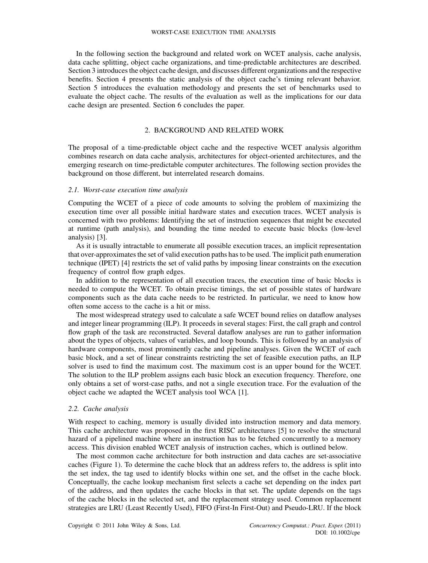In the following section the background and related work on WCET analysis, cache analysis, data cache splitting, object cache organizations, and time-predictable architectures are described. Section 3 introduces the object cache design, and discusses different organizations and the respective benefits. Section 4 presents the static analysis of the object cache's timing relevant behavior. Section 5 introduces the evaluation methodology and presents the set of benchmarks used to evaluate the object cache. The results of the evaluation as well as the implications for our data cache design are presented. Section 6 concludes the paper.

# 2. BACKGROUND AND RELATED WORK

The proposal of a time-predictable object cache and the respective WCET analysis algorithm combines research on data cache analysis, architectures for object-oriented architectures, and the emerging research on time-predictable computer architectures. The following section provides the background on those different, but interrelated research domains.

# *2.1. Worst-case execution time analysis*

Computing the WCET of a piece of code amounts to solving the problem of maximizing the execution time over all possible initial hardware states and execution traces. WCET analysis is concerned with two problems: Identifying the set of instruction sequences that might be executed at runtime (path analysis), and bounding the time needed to execute basic blocks (low-level analysis) [3].

As it is usually intractable to enumerate all possible execution traces, an implicit representation that over-approximates the set of valid execution paths has to be used. The implicit path enumeration technique (IPET) [4] restricts the set of valid paths by imposing linear constraints on the execution frequency of control flow graph edges.

In addition to the representation of all execution traces, the execution time of basic blocks is needed to compute the WCET. To obtain precise timings, the set of possible states of hardware components such as the data cache needs to be restricted. In particular, we need to know how often some access to the cache is a hit or miss.

The most widespread strategy used to calculate a safe WCET bound relies on dataflow analyses and integer linear programming (ILP). It proceeds in several stages: First, the call graph and control flow graph of the task are reconstructed. Several dataflow analyses are run to gather information about the types of objects, values of variables, and loop bounds. This is followed by an analysis of hardware components, most prominently cache and pipeline analyses. Given the WCET of each basic block, and a set of linear constraints restricting the set of feasible execution paths, an ILP solver is used to find the maximum cost. The maximum cost is an upper bound for the WCET. The solution to the ILP problem assigns each basic block an execution frequency. Therefore, one only obtains a set of worst-case paths, and not a single execution trace. For the evaluation of the object cache we adapted the WCET analysis tool WCA [1].

## *2.2. Cache analysis*

With respect to caching, memory is usually divided into instruction memory and data memory. This cache architecture was proposed in the first RISC architectures [5] to resolve the structural hazard of a pipelined machine where an instruction has to be fetched concurrently to a memory access. This division enabled WCET analysis of instruction caches, which is outlined below.

The most common cache architecture for both instruction and data caches are set-associative caches (Figure 1). To determine the cache block that an address refers to, the address is split into the set index, the tag used to identify blocks within one set, and the offset in the cache block. Conceptually, the cache lookup mechanism first selects a cache set depending on the index part of the address, and then updates the cache blocks in that set. The update depends on the tags of the cache blocks in the selected set, and the replacement strategy used. Common replacement strategies are LRU (Least Recently Used), FIFO (First-In First-Out) and Pseudo-LRU. If the block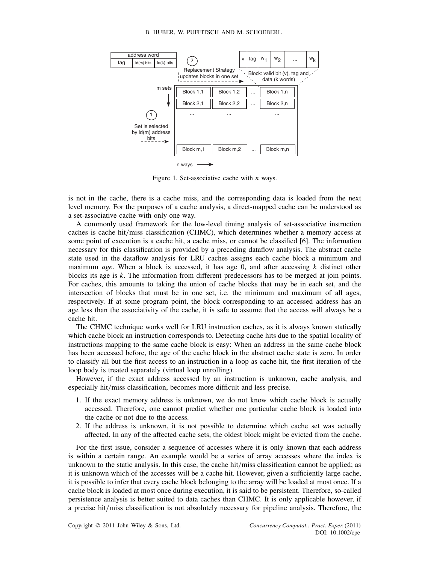

Figure 1. Set-associative cache with *n* ways.

is not in the cache, there is a cache miss, and the corresponding data is loaded from the next level memory. For the purposes of a cache analysis, a direct-mapped cache can be understood as a set-associative cache with only one way.

A commonly used framework for the low-level timing analysis of set-associative instruction caches is cache hit*/*miss classification (CHMC), which determines whether a memory access at some point of execution is a cache hit, a cache miss, or cannot be classified [6]. The information necessary for this classification is provided by a preceding dataflow analysis. The abstract cache state used in the dataflow analysis for LRU caches assigns each cache block a minimum and maximum *age*. When a block is accessed, it has age 0, and after accessing *k* distinct other blocks its age is *k*. The information from different predecessors has to be merged at join points. For caches, this amounts to taking the union of cache blocks that may be in each set, and the intersection of blocks that must be in one set, i.e. the minimum and maximum of all ages, respectively. If at some program point, the block corresponding to an accessed address has an age less than the associativity of the cache, it is safe to assume that the access will always be a cache hit.

The CHMC technique works well for LRU instruction caches, as it is always known statically which cache block an instruction corresponds to. Detecting cache hits due to the spatial locality of instructions mapping to the same cache block is easy: When an address in the same cache block has been accessed before, the age of the cache block in the abstract cache state is zero. In order to classify all but the first access to an instruction in a loop as cache hit, the first iteration of the loop body is treated separately (virtual loop unrolling).

However, if the exact address accessed by an instruction is unknown, cache analysis, and especially hit*/*miss classification, becomes more difficult and less precise.

- 1. If the exact memory address is unknown, we do not know which cache block is actually accessed. Therefore, one cannot predict whether one particular cache block is loaded into the cache or not due to the access.
- 2. If the address is unknown, it is not possible to determine which cache set was actually affected. In any of the affected cache sets, the oldest block might be evicted from the cache.

For the first issue, consider a sequence of accesses where it is only known that each address is within a certain range. An example would be a series of array accesses where the index is unknown to the static analysis. In this case, the cache hit*/*miss classification cannot be applied; as it is unknown which of the accesses will be a cache hit. However, given a sufficiently large cache, it is possible to infer that every cache block belonging to the array will be loaded at most once. If a cache block is loaded at most once during execution, it is said to be persistent. Therefore, so-called persistence analysis is better suited to data caches than CHMC. It is only applicable however, if a precise hit*/*miss classification is not absolutely necessary for pipeline analysis. Therefore, the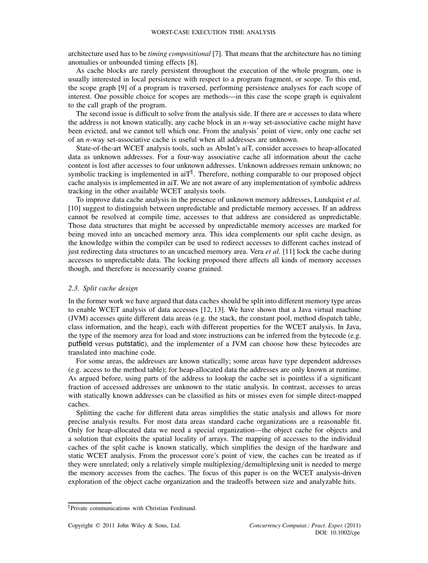architecture used has to be *timing compositional* [7]. That means that the architecture has no timing anomalies or unbounded timing effects [8].

As cache blocks are rarely persistent throughout the execution of the whole program, one is usually interested in local persistence with respect to a program fragment, or scope. To this end, the scope graph [9] of a program is traversed, performing persistence analyses for each scope of interest. One possible choice for scopes are methods—in this case the scope graph is equivalent to the call graph of the program.

The second issue is difficult to solve from the analysis side. If there are *n* accesses to data where the address is not known statically, any cache block in an *n*-way set-associative cache might have been evicted, and we cannot tell which one. From the analysis' point of view, only one cache set of an *n*-way set-associative cache is useful when all addresses are unknown.

State-of-the-art WCET analysis tools, such as AbsInt's aiT, consider accesses to heap-allocated data as unknown addresses. For a four-way associative cache all information about the cache content is lost after accesses to four unknown addresses. Unknown addresses remain unknown; no symbolic tracking is implemented in aiT<sup>¶</sup>. Therefore, nothing comparable to our proposed object cache analysis is implemented in aiT. We are not aware of any implementation of symbolic address tracking in the other available WCET analysis tools.

To improve data cache analysis in the presence of unknown memory addresses, Lundquist *et al.* [10] suggest to distinguish between unpredictable and predictable memory accesses. If an address cannot be resolved at compile time, accesses to that address are considered as unpredictable. Those data structures that might be accessed by unpredictable memory accesses are marked for being moved into an uncached memory area. This idea complements our split cache design, as the knowledge within the compiler can be used to redirect accesses to different caches instead of just redirecting data structures to an uncached memory area. Vera *et al.* [11] lock the cache during accesses to unpredictable data. The locking proposed there affects all kinds of memory accesses though, and therefore is necessarily coarse grained.

# *2.3. Split cache design*

In the former work we have argued that data caches should be split into different memory type areas to enable WCET analysis of data accesses [12, 13]. We have shown that a Java virtual machine (JVM) accesses quite different data areas (e.g. the stack, the constant pool, method dispatch table, class information, and the heap), each with different properties for the WCET analysis. In Java, the type of the memory area for load and store instructions can be inferred from the bytecode (e.g. putfield versus putstatic), and the implementer of a JVM can choose how these bytecodes are translated into machine code.

For some areas, the addresses are known statically; some areas have type dependent addresses (e.g. access to the method table); for heap-allocated data the addresses are only known at runtime. As argued before, using parts of the address to lookup the cache set is pointless if a significant fraction of accessed addresses are unknown to the static analysis. In contrast, accesses to areas with statically known addresses can be classified as hits or misses even for simple direct-mapped caches.

Splitting the cache for different data areas simplifies the static analysis and allows for more precise analysis results. For most data areas standard cache organizations are a reasonable fit. Only for heap-allocated data we need a special organization—the object cache for objects and a solution that exploits the spatial locality of arrays. The mapping of accesses to the individual caches of the split cache is known statically, which simplifies the design of the hardware and static WCET analysis. From the processor core's point of view, the caches can be treated as if they were unrelated; only a relatively simple multiplexing*/*demultiplexing unit is needed to merge the memory accesses from the caches. The focus of this paper is on the WCET analysis-driven exploration of the object cache organization and the tradeoffs between size and analyzable hits.

<sup>¶</sup> Private communications with Christian Ferdinand.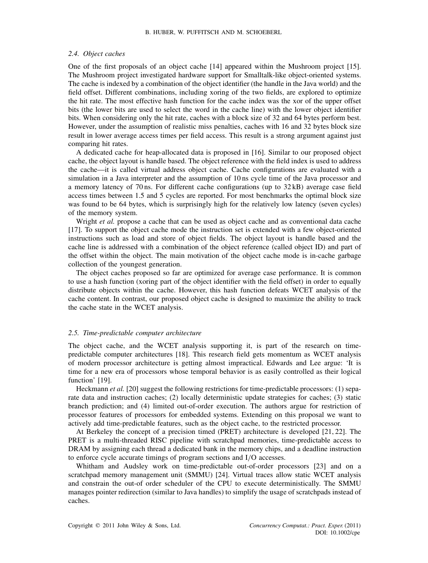## *2.4. Object caches*

One of the first proposals of an object cache [14] appeared within the Mushroom project [15]. The Mushroom project investigated hardware support for Smalltalk-like object-oriented systems. The cache is indexed by a combination of the object identifier (the handle in the Java world) and the field offset. Different combinations, including xoring of the two fields, are explored to optimize the hit rate. The most effective hash function for the cache index was the xor of the upper offset bits (the lower bits are used to select the word in the cache line) with the lower object identifier bits. When considering only the hit rate, caches with a block size of 32 and 64 bytes perform best. However, under the assumption of realistic miss penalties, caches with 16 and 32 bytes block size result in lower average access times per field access. This result is a strong argument against just comparing hit rates.

A dedicated cache for heap-allocated data is proposed in [16]. Similar to our proposed object cache, the object layout is handle based. The object reference with the field index is used to address the cache—it is called virtual address object cache. Cache configurations are evaluated with a simulation in a Java interpreter and the assumption of 10 ns cycle time of the Java processor and a memory latency of 70 ns. For different cache configurations (up to  $32 \text{ kB}$ ) average case field access times between 1.5 and 5 cycles are reported. For most benchmarks the optimal block size was found to be 64 bytes, which is surprisingly high for the relatively low latency (seven cycles) of the memory system.

Wright *et al.* propose a cache that can be used as object cache and as conventional data cache [17]. To support the object cache mode the instruction set is extended with a few object-oriented instructions such as load and store of object fields. The object layout is handle based and the cache line is addressed with a combination of the object reference (called object ID) and part of the offset within the object. The main motivation of the object cache mode is in-cache garbage collection of the youngest generation.

The object caches proposed so far are optimized for average case performance. It is common to use a hash function (xoring part of the object identifier with the field offset) in order to equally distribute objects within the cache. However, this hash function defeats WCET analysis of the cache content. In contrast, our proposed object cache is designed to maximize the ability to track the cache state in the WCET analysis.

#### *2.5. Time-predictable computer architecture*

The object cache, and the WCET analysis supporting it, is part of the research on timepredictable computer architectures [18]. This research field gets momentum as WCET analysis of modern processor architecture is getting almost impractical. Edwards and Lee argue: 'It is time for a new era of processors whose temporal behavior is as easily controlled as their logical function' [19].

Heckmann *et al.* [20] suggest the following restrictions for time-predictable processors: (1) separate data and instruction caches; (2) locally deterministic update strategies for caches; (3) static branch prediction; and (4) limited out-of-order execution. The authors argue for restriction of processor features of processors for embedded systems. Extending on this proposal we want to actively add time-predictable features, such as the object cache, to the restricted processor.

At Berkeley the concept of a precision timed (PRET) architecture is developed [21, 22]. The PRET is a multi-threaded RISC pipeline with scratchpad memories, time-predictable access to DRAM by assigning each thread a dedicated bank in the memory chips, and a deadline instruction to enforce cycle accurate timings of program sections and I*/*O accesses.

Whitham and Audsley work on time-predictable out-of-order processors [23] and on a scratchpad memory management unit (SMMU) [24]. Virtual traces allow static WCET analysis and constrain the out-of order scheduler of the CPU to execute deterministically. The SMMU manages pointer redirection (similar to Java handles) to simplify the usage of scratchpads instead of caches.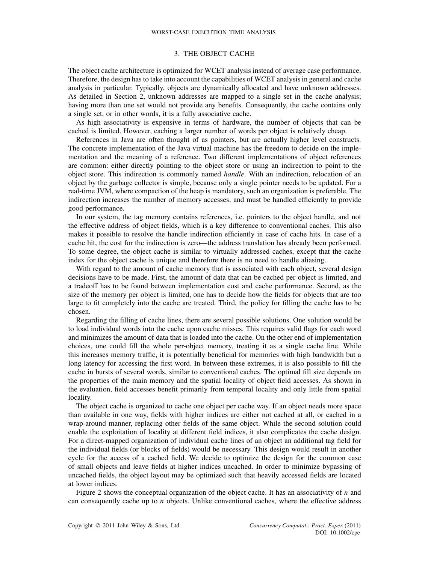# 3. THE OBJECT CACHE

The object cache architecture is optimized for WCET analysis instead of average case performance. Therefore, the design has to take into account the capabilities of WCET analysis in general and cache analysis in particular. Typically, objects are dynamically allocated and have unknown addresses. As detailed in Section 2, unknown addresses are mapped to a single set in the cache analysis; having more than one set would not provide any benefits. Consequently, the cache contains only a single set, or in other words, it is a fully associative cache.

As high associativity is expensive in terms of hardware, the number of objects that can be cached is limited. However, caching a larger number of words per object is relatively cheap.

References in Java are often thought of as pointers, but are actually higher level constructs. The concrete implementation of the Java virtual machine has the freedom to decide on the implementation and the meaning of a reference. Two different implementations of object references are common: either directly pointing to the object store or using an indirection to point to the object store. This indirection is commonly named *handle*. With an indirection, relocation of an object by the garbage collector is simple, because only a single pointer needs to be updated. For a real-time JVM, where compaction of the heap is mandatory, such an organization is preferable. The indirection increases the number of memory accesses, and must be handled efficiently to provide good performance.

In our system, the tag memory contains references, i.e. pointers to the object handle, and not the effective address of object fields, which is a key difference to conventional caches. This also makes it possible to resolve the handle indirection efficiently in case of cache hits. In case of a cache hit, the cost for the indirection is zero—the address translation has already been performed. To some degree, the object cache is similar to virtually addressed caches, except that the cache index for the object cache is unique and therefore there is no need to handle aliasing.

With regard to the amount of cache memory that is associated with each object, several design decisions have to be made. First, the amount of data that can be cached per object is limited, and a tradeoff has to be found between implementation cost and cache performance. Second, as the size of the memory per object is limited, one has to decide how the fields for objects that are too large to fit completely into the cache are treated. Third, the policy for filling the cache has to be chosen.

Regarding the filling of cache lines, there are several possible solutions. One solution would be to load individual words into the cache upon cache misses. This requires valid flags for each word and minimizes the amount of data that is loaded into the cache. On the other end of implementation choices, one could fill the whole per-object memory, treating it as a single cache line. While this increases memory traffic, it is potentially beneficial for memories with high bandwidth but a long latency for accessing the first word. In between these extremes, it is also possible to fill the cache in bursts of several words, similar to conventional caches. The optimal fill size depends on the properties of the main memory and the spatial locality of object field accesses. As shown in the evaluation, field accesses benefit primarily from temporal locality and only little from spatial locality.

The object cache is organized to cache one object per cache way. If an object needs more space than available in one way, fields with higher indices are either not cached at all, or cached in a wrap-around manner, replacing other fields of the same object. While the second solution could enable the exploitation of locality at different field indices, it also complicates the cache design. For a direct-mapped organization of individual cache lines of an object an additional tag field for the individual fields (or blocks of fields) would be necessary. This design would result in another cycle for the access of a cached field. We decide to optimize the design for the common case of small objects and leave fields at higher indices uncached. In order to minimize bypassing of uncached fields, the object layout may be optimized such that heavily accessed fields are located at lower indices.

Figure 2 shows the conceptual organization of the object cache. It has an associativity of *n* and can consequently cache up to *n* objects. Unlike conventional caches, where the effective address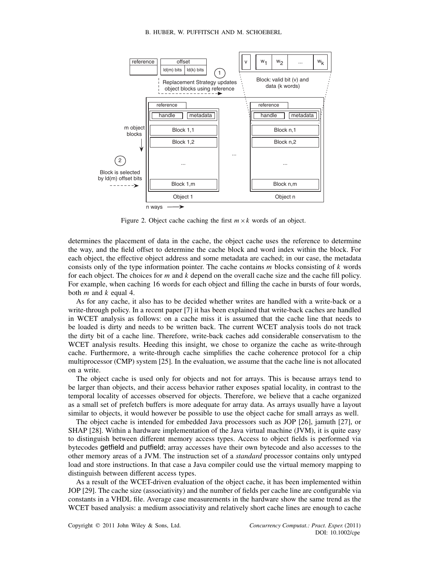

Figure 2. Object cache caching the first  $m \times k$  words of an object.

determines the placement of data in the cache, the object cache uses the reference to determine the way, and the field offset to determine the cache block and word index within the block. For each object, the effective object address and some metadata are cached; in our case, the metadata consists only of the type information pointer. The cache contains *m* blocks consisting of *k* words for each object. The choices for *m* and *k* depend on the overall cache size and the cache fill policy. For example, when caching 16 words for each object and filling the cache in bursts of four words, both *m* and *k* equal 4.

As for any cache, it also has to be decided whether writes are handled with a write-back or a write-through policy. In a recent paper [7] it has been explained that write-back caches are handled in WCET analysis as follows: on a cache miss it is assumed that the cache line that needs to be loaded is dirty and needs to be written back. The current WCET analysis tools do not track the dirty bit of a cache line. Therefore, write-back caches add considerable conservatism to the WCET analysis results. Heeding this insight, we chose to organize the cache as write-through cache. Furthermore, a write-through cache simplifies the cache coherence protocol for a chip multiprocessor (CMP) system [25]. In the evaluation, we assume that the cache line is not allocated on a write.

The object cache is used only for objects and not for arrays. This is because arrays tend to be larger than objects, and their access behavior rather exposes spatial locality, in contrast to the temporal locality of accesses observed for objects. Therefore, we believe that a cache organized as a small set of prefetch buffers is more adequate for array data. As arrays usually have a layout similar to objects, it would however be possible to use the object cache for small arrays as well.

The object cache is intended for embedded Java processors such as JOP [26], jamuth [27], or SHAP [28]. Within a hardware implementation of the Java virtual machine (JVM), it is quite easy to distinguish between different memory access types. Access to object fields is performed via bytecodes getfield and putfield; array accesses have their own bytecode and also accesses to the other memory areas of a JVM. The instruction set of a *standard* processor contains only untyped load and store instructions. In that case a Java compiler could use the virtual memory mapping to distinguish between different access types.

As a result of the WCET-driven evaluation of the object cache, it has been implemented within JOP [29]. The cache size (associativity) and the number of fields per cache line are configurable via constants in a VHDL file. Average case measurements in the hardware show the same trend as the WCET based analysis: a medium associativity and relatively short cache lines are enough to cache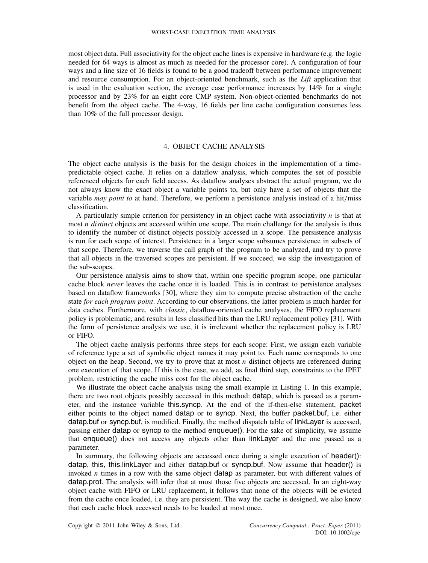#### WORST-CASE EXECUTION TIME ANALYSIS

most object data. Full associativity for the object cache lines is expensive in hardware (e.g. the logic needed for 64 ways is almost as much as needed for the processor core). A configuration of four ways and a line size of 16 fields is found to be a good tradeoff between performance improvement and resource consumption. For an object-oriented benchmark, such as the *Lift* application that is used in the evaluation section, the average case performance increases by 14% for a single processor and by 23% for an eight core CMP system. Non-object-oriented benchmarks do not benefit from the object cache. The 4-way, 16 fields per line cache configuration consumes less than 10% of the full processor design.

## 4. OBJECT CACHE ANALYSIS

The object cache analysis is the basis for the design choices in the implementation of a timepredictable object cache. It relies on a dataflow analysis, which computes the set of possible referenced objects for each field access. As dataflow analyses abstract the actual program, we do not always know the exact object a variable points to, but only have a set of objects that the variable *may point to* at hand. Therefore, we perform a persistence analysis instead of a hit*/*miss classification.

A particularly simple criterion for persistency in an object cache with associativity *n* is that at most *n distinct* objects are accessed within one scope. The main challenge for the analysis is thus to identify the number of distinct objects possibly accessed in a scope. The persistence analysis is run for each scope of interest. Persistence in a larger scope subsumes persistence in subsets of that scope. Therefore, we traverse the call graph of the program to be analyzed, and try to prove that all objects in the traversed scopes are persistent. If we succeed, we skip the investigation of the sub-scopes.

Our persistence analysis aims to show that, within one specific program scope, one particular cache block *never* leaves the cache once it is loaded. This is in contrast to persistence analyses based on dataflow frameworks [30], where they aim to compute precise abstraction of the cache state *for each program point*. According to our observations, the latter problem is much harder for data caches. Furthermore, with *classic*, dataflow-oriented cache analyses, the FIFO replacement policy is problematic, and results in less classified hits than the LRU replacement policy [31]. With the form of persistence analysis we use, it is irrelevant whether the replacement policy is LRU or FIFO.

The object cache analysis performs three steps for each scope: First, we assign each variable of reference type a set of symbolic object names it may point to. Each name corresponds to one object on the heap. Second, we try to prove that at most *n* distinct objects are referenced during one execution of that scope. If this is the case, we add, as final third step, constraints to the IPET problem, restricting the cache miss cost for the object cache.

We illustrate the object cache analysis using the small example in Listing 1. In this example, there are two root objects possibly accessed in this method: datap, which is passed as a parameter, and the instance variable this.syncp. At the end of the if-then-else statement, packet either points to the object named datap or to syncp. Next, the buffer packet.buf, i.e. either datap.buf or syncp.buf, is modified. Finally, the method dispatch table of linkLayer is accessed, passing either datap or syncp to the method enqueue(). For the sake of simplicity, we assume that enqueue() does not access any objects other than linkLayer and the one passed as a parameter.

In summary, the following objects are accessed once during a single execution of header(): datap, this, this.linkLayer and either datap.buf or syncp.buf. Now assume that header() is invoked *n* times in a row with the same object datap as parameter, but with different values of datap.prot. The analysis will infer that at most those five objects are accessed. In an eight-way object cache with FIFO or LRU replacement, it follows that none of the objects will be evicted from the cache once loaded, i.e. they are persistent. The way the cache is designed, we also know that each cache block accessed needs to be loaded at most once.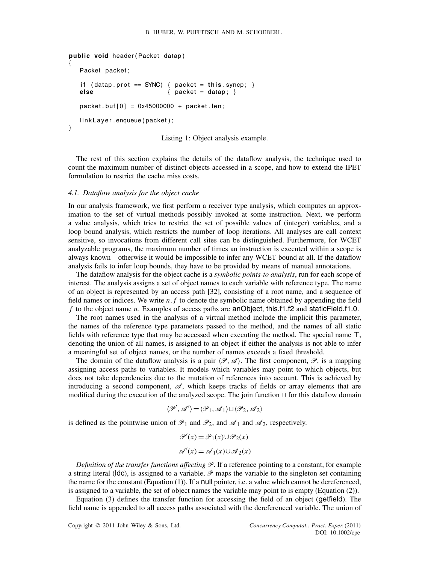```
public void header ( Packet datap )
{
  Packet packet ;
  if (datap.prot == SYNC) { packet = this.syncp; }
  else { packet = datap; }
  packet.buf[0] = 0x45000000 + packet.len;linkLayer.enqueue(packet):
}
```
Listing 1: Object analysis example.

The rest of this section explains the details of the dataflow analysis, the technique used to count the maximum number of distinct objects accessed in a scope, and how to extend the IPET formulation to restrict the cache miss costs.

## *4.1. Dataflow analysis for the object cache*

In our analysis framework, we first perform a receiver type analysis, which computes an approximation to the set of virtual methods possibly invoked at some instruction. Next, we perform a value analysis, which tries to restrict the set of possible values of (integer) variables, and a loop bound analysis, which restricts the number of loop iterations. All analyses are call context sensitive, so invocations from different call sites can be distinguished. Furthermore, for WCET analyzable programs, the maximum number of times an instruction is executed within a scope is always known—otherwise it would be impossible to infer any WCET bound at all. If the dataflow analysis fails to infer loop bounds, they have to be provided by means of manual annotations.

The dataflow analysis for the object cache is a *symbolic points-to analysis*, run for each scope of interest. The analysis assigns a set of object names to each variable with reference type. The name of an object is represented by an access path [32], consisting of a root name, and a sequence of field names or indices. We write *n. f* to denote the symbolic name obtained by appending the field *f* to the object name *n*. Examples of access paths are anObject, this.f1.f2 and staticField.f1.0.

The root names used in the analysis of a virtual method include the implicit this parameter, the names of the reference type parameters passed to the method, and the names of all static fields with reference type that may be accessed when executing the method. The special name  $\top$ , denoting the union of all names, is assigned to an object if either the analysis is not able to infer a meaningful set of object names, or the number of names exceeds a fixed threshold.

The domain of the dataflow analysis is a pair  $\langle \mathcal{P}, \mathcal{A} \rangle$ . The first component,  $\mathcal{P}$ , is a mapping assigning access paths to variables. It models which variables may point to which objects, but does not take dependencies due to the mutation of references into account. This is achieved by introducing a second component,  $\mathscr{A}$ , which keeps tracks of fields or array elements that are modified during the execution of the analyzed scope. The join function  $\sqcup$  for this dataflow domain

$$
\langle \mathscr{P}', \mathscr{A}' \rangle \!=\! \langle \mathscr{P}_1, \mathscr{A}_1 \rangle \!\sqcup\! \langle \mathscr{P}_2, \mathscr{A}_2 \rangle
$$

is defined as the pointwise union of  $\mathcal{P}_1$  and  $\mathcal{P}_2$ , and  $\mathcal{A}_1$  and  $\mathcal{A}_2$ , respectively.

$$
\mathcal{P}'(x) = \mathcal{P}_1(x) \cup \mathcal{P}_2(x)
$$

$$
\mathcal{A}'(x) = \mathcal{A}_1(x) \cup \mathcal{A}_2(x)
$$

*Definition of the transfer functions affecting*  $\mathcal P$ . If a reference pointing to a constant, for example a string literal (ldc), is assigned to a variable,  $\mathcal P$  maps the variable to the singleton set containing the name for the constant (Equation (1)). If a null pointer, i.e. a value which cannot be dereferenced, is assigned to a variable, the set of object names the variable may point to is empty (Equation (2)).

Equation (3) defines the transfer function for accessing the field of an object (getfield). The field name is appended to all access paths associated with the dereferenced variable. The union of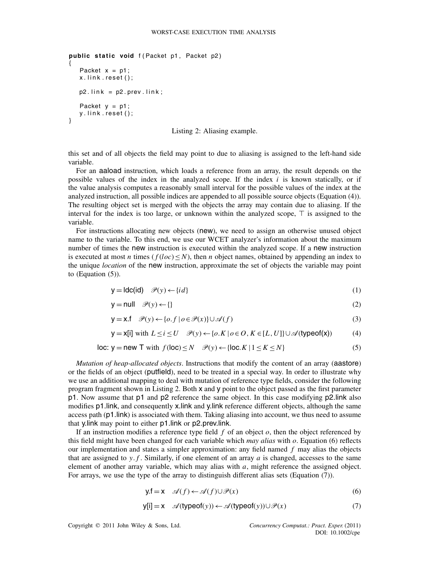```
public static void f (Packet p1, Packet p2)
{
   Packet x = p1:
  x. link. reset ();
   p2. link = p2. prev. link;
   Packet y = p1;
  y.link.reset();
}
```
Listing 2: Aliasing example.

this set and of all objects the field may point to due to aliasing is assigned to the left-hand side variable.

For an aaload instruction, which loads a reference from an array, the result depends on the possible values of the index in the analyzed scope. If the index *i* is known statically, or if the value analysis computes a reasonably small interval for the possible values of the index at the analyzed instruction, all possible indices are appended to all possible source objects (Equation (4)). The resulting object set is merged with the objects the array may contain due to aliasing. If the interval for the index is too large, or unknown within the analyzed scope,  $\top$  is assigned to the variable.

For instructions allocating new objects (new), we need to assign an otherwise unused object name to the variable. To this end, we use our WCET analyzer's information about the maximum number of times the new instruction is executed within the analyzed scope. If a new instruction is executed at most *n* times ( $f(loc) < N$ ), then *n* object names, obtained by appending an index to the unique *location* of the new instruction, approximate the set of objects the variable may point to (Equation (5)).

$$
y = \text{Idc(id)} \quad \mathcal{P}(y) \leftarrow \{id\} \tag{1}
$$

$$
y = null \quad \mathcal{P}(y) \leftarrow \{\}
$$
 (2)

$$
\mathbf{y} = \mathbf{x}.\mathbf{f} \quad \mathcal{P}(\mathbf{y}) \leftarrow \{o.f \mid o \in \mathcal{P}(\mathbf{x})\} \cup \mathcal{A}(f) \tag{3}
$$

$$
\mathsf{y} = \mathsf{x}[i] \text{ with } L \le i \le U \quad \mathcal{P}(\mathsf{y}) \leftarrow \{o, K \mid o \in O, K \in [L, U] \} \cup \mathcal{A}(\mathsf{typeof}(\mathsf{x})) \tag{4}
$$

$$
\text{loc: } \mathsf{y} = \text{new } \mathsf{T} \text{ with } f(\text{loc}) \le N \quad \mathcal{P}(\mathsf{y}) \leftarrow \{\text{loc.} K \mid 1 \le K \le N\} \tag{5}
$$

*Mutation of heap-allocated objects*. Instructions that modify the content of an array (aastore) or the fields of an object (putfield), need to be treated in a special way. In order to illustrate why we use an additional mapping to deal with mutation of reference type fields, consider the following program fragment shown in Listing 2. Both x and y point to the object passed as the first parameter p1. Now assume that p1 and p2 reference the same object. In this case modifying p2.link also modifies p1.link, and consequently x.link and y.link reference different objects, although the same access path (p1.link) is associated with them. Taking aliasing into account, we thus need to assume that y.link may point to either p1.link or p2.prev.link.

If an instruction modifies a reference type field *f* of an object *o*, then the object referenced by this field might have been changed for each variable which *may alias* with *o*. Equation (6) reflects our implementation and states a simpler approximation: any field named *f* may alias the objects that are assigned to  $y.f.$  Similarly, if one element of an array  $a$  is changed, accesses to the same element of another array variable, which may alias with *a*, might reference the assigned object. For arrays, we use the type of the array to distinguish different alias sets (Equation (7)).

$$
y.f = x \quad \mathcal{A}(f) \leftarrow \mathcal{A}(f) \cup \mathcal{P}(x) \tag{6}
$$

$$
y[i] = x \quad \mathscr{A}(typeof(y)) \leftarrow \mathscr{A}(typeof(y)) \cup \mathscr{P}(x) \tag{7}
$$

Copyright  $\odot$  2011 John Wiley & Sons, Ltd.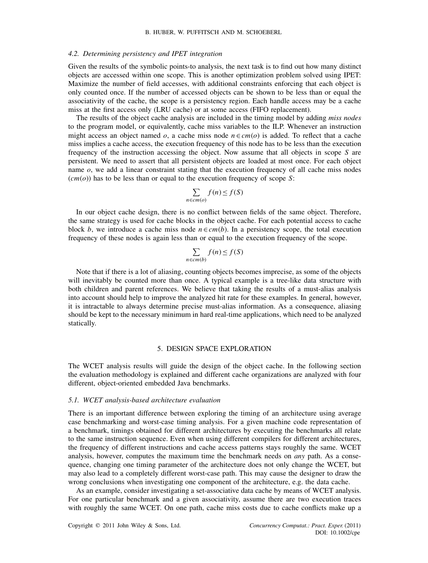#### *4.2. Determining persistency and IPET integration*

Given the results of the symbolic points-to analysis, the next task is to find out how many distinct objects are accessed within one scope. This is another optimization problem solved using IPET: Maximize the number of field accesses, with additional constraints enforcing that each object is only counted once. If the number of accessed objects can be shown to be less than or equal the associativity of the cache, the scope is a persistency region. Each handle access may be a cache miss at the first access only (LRU cache) or at some access (FIFO replacement).

The results of the object cache analysis are included in the timing model by adding *miss nodes* to the program model, or equivalently, cache miss variables to the ILP. Whenever an instruction might access an object named *o*, a cache miss node  $n \in cm$  (*o*) is added. To reflect that a cache miss implies a cache access, the execution frequency of this node has to be less than the execution frequency of the instruction accessing the object. Now assume that all objects in scope *S* are persistent. We need to assert that all persistent objects are loaded at most once. For each object name  $o$ , we add a linear constraint stating that the execution frequency of all cache miss nodes  $(cm(o))$  has to be less than or equal to the execution frequency of scope *S*:

$$
\sum_{n \in cm(o)} f(n) \le f(S)
$$

In our object cache design, there is no conflict between fields of the same object. Therefore, the same strategy is used for cache blocks in the object cache. For each potential access to cache block *b*, we introduce a cache miss node  $n \in cm(b)$ . In a persistency scope, the total execution frequency of these nodes is again less than or equal to the execution frequency of the scope.

$$
\sum_{n \in cm(b)} f(n) \le f(S)
$$

Note that if there is a lot of aliasing, counting objects becomes imprecise, as some of the objects will inevitably be counted more than once. A typical example is a tree-like data structure with both children and parent references. We believe that taking the results of a must-alias analysis into account should help to improve the analyzed hit rate for these examples. In general, however, it is intractable to always determine precise must-alias information. As a consequence, aliasing should be kept to the necessary minimum in hard real-time applications, which need to be analyzed statically.

#### 5. DESIGN SPACE EXPLORATION

The WCET analysis results will guide the design of the object cache. In the following section the evaluation methodology is explained and different cache organizations are analyzed with four different, object-oriented embedded Java benchmarks.

#### *5.1. WCET analysis-based architecture evaluation*

There is an important difference between exploring the timing of an architecture using average case benchmarking and worst-case timing analysis. For a given machine code representation of a benchmark, timings obtained for different architectures by executing the benchmarks all relate to the same instruction sequence. Even when using different compilers for different architectures, the frequency of different instructions and cache access patterns stays roughly the same. WCET analysis, however, computes the maximum time the benchmark needs on *any* path. As a consequence, changing one timing parameter of the architecture does not only change the WCET, but may also lead to a completely different worst-case path. This may cause the designer to draw the wrong conclusions when investigating one component of the architecture, e.g. the data cache.

As an example, consider investigating a set-associative data cache by means of WCET analysis. For one particular benchmark and a given associativity, assume there are two execution traces with roughly the same WCET. On one path, cache miss costs due to cache conflicts make up a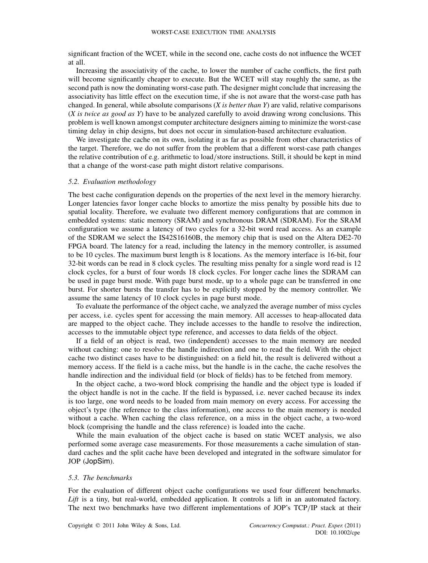significant fraction of the WCET, while in the second one, cache costs do not influence the WCET at all.

Increasing the associativity of the cache, to lower the number of cache conflicts, the first path will become significantly cheaper to execute. But the WCET will stay roughly the same, as the second path is now the dominating worst-case path. The designer might conclude that increasing the associativity has little effect on the execution time, if she is not aware that the worst-case path has changed. In general, while absolute comparisons (*X is better than Y*) are valid, relative comparisons (*X is twice as good as Y*) have to be analyzed carefully to avoid drawing wrong conclusions. This problem is well known amongst computer architecture designers aiming to minimize the worst-case timing delay in chip designs, but does not occur in simulation-based architecture evaluation.

We investigate the cache on its own, isolating it as far as possible from other characteristics of the target. Therefore, we do not suffer from the problem that a different worst-case path changes the relative contribution of e.g. arithmetic to load*/*store instructions. Still, it should be kept in mind that a change of the worst-case path might distort relative comparisons.

### *5.2. Evaluation methodology*

The best cache configuration depends on the properties of the next level in the memory hierarchy. Longer latencies favor longer cache blocks to amortize the miss penalty by possible hits due to spatial locality. Therefore, we evaluate two different memory configurations that are common in embedded systems: static memory (SRAM) and synchronous DRAM (SDRAM). For the SRAM configuration we assume a latency of two cycles for a 32-bit word read access. As an example of the SDRAM we select the IS42S16160B, the memory chip that is used on the Altera DE2-70 FPGA board. The latency for a read, including the latency in the memory controller, is assumed to be 10 cycles. The maximum burst length is 8 locations. As the memory interface is 16-bit, four 32-bit words can be read in 8 clock cycles. The resulting miss penalty for a single word read is 12 clock cycles, for a burst of four words 18 clock cycles. For longer cache lines the SDRAM can be used in page burst mode. With page burst mode, up to a whole page can be transferred in one burst. For shorter bursts the transfer has to be explicitly stopped by the memory controller. We assume the same latency of 10 clock cycles in page burst mode.

To evaluate the performance of the object cache, we analyzed the average number of miss cycles per access, i.e. cycles spent for accessing the main memory. All accesses to heap-allocated data are mapped to the object cache. They include accesses to the handle to resolve the indirection, accesses to the immutable object type reference, and accesses to data fields of the object.

If a field of an object is read, two (independent) accesses to the main memory are needed without caching: one to resolve the handle indirection and one to read the field. With the object cache two distinct cases have to be distinguished: on a field hit, the result is delivered without a memory access. If the field is a cache miss, but the handle is in the cache, the cache resolves the handle indirection and the individual field (or block of fields) has to be fetched from memory.

In the object cache, a two-word block comprising the handle and the object type is loaded if the object handle is not in the cache. If the field is bypassed, i.e. never cached because its index is too large, one word needs to be loaded from main memory on every access. For accessing the object's type (the reference to the class information), one access to the main memory is needed without a cache. When caching the class reference, on a miss in the object cache, a two-word block (comprising the handle and the class reference) is loaded into the cache.

While the main evaluation of the object cache is based on static WCET analysis, we also performed some average case measurements. For those measurements a cache simulation of standard caches and the split cache have been developed and integrated in the software simulator for JOP (JopSim).

#### *5.3. The benchmarks*

For the evaluation of different object cache configurations we used four different benchmarks. Lift is a tiny, but real-world, embedded application. It controls a lift in an automated factory. The next two benchmarks have two different implementations of JOP's TCP*/*IP stack at their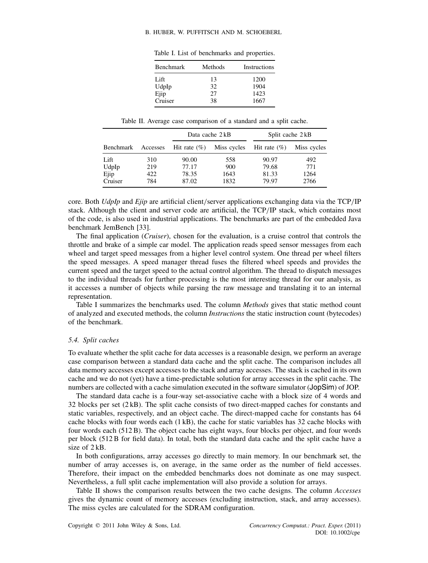## B. HUBER, W. PUFFITSCH AND M. SCHOEBERL

| Benchmark | Methods | Instructions |
|-----------|---------|--------------|
| Lift      | 13      | 1200         |
| UdpIp     | 32      | 1904         |
| Ejip      | 27      | 1423         |
| Cruiser   | 38      | 1667         |

Table I. List of benchmarks and properties.

Table II. Average case comparison of a standard and a split cache.

|           |          | Data cache 2 kB  |      | Split cache 2 kB             |             |  |
|-----------|----------|------------------|------|------------------------------|-------------|--|
| Benchmark | Accesses | Hit rate $(\% )$ |      | Miss cycles Hit rate $(\% )$ | Miss cycles |  |
| Lift      | 310      | 90.00            | 558  | 90.97                        | 492         |  |
| UdpIp     | 219      | 77.17            | 900  | 79.68                        | 771         |  |
| Ejip      | 422      | 78.35            | 1643 | 81.33                        | 1264        |  |
| Cruiser   | 784      | 87.02            | 1832 | 79.97                        | 2766        |  |

core. Both *UdpIp* and *Ejip* are artificial client*/*server applications exchanging data via the TCP*/*IP stack. Although the client and server code are artificial, the TCP*/*IP stack, which contains most of the code, is also used in industrial applications. The benchmarks are part of the embedded Java benchmark JemBench [33].

The final application (*Cruiser*), chosen for the evaluation, is a cruise control that controls the throttle and brake of a simple car model. The application reads speed sensor messages from each wheel and target speed messages from a higher level control system. One thread per wheel filters the speed messages. A speed manager thread fuses the filtered wheel speeds and provides the current speed and the target speed to the actual control algorithm. The thread to dispatch messages to the individual threads for further processing is the most interesting thread for our analysis, as it accesses a number of objects while parsing the raw message and translating it to an internal representation.

Table I summarizes the benchmarks used. The column *Methods* gives that static method count of analyzed and executed methods, the column *Instructions* the static instruction count (bytecodes) of the benchmark.

# *5.4. Split caches*

To evaluate whether the split cache for data accesses is a reasonable design, we perform an average case comparison between a standard data cache and the split cache. The comparison includes all data memory accesses except accesses to the stack and array accesses. The stack is cached in its own cache and we do not (yet) have a time-predictable solution for array accesses in the split cache. The numbers are collected with a cache simulation executed in the software simulator (JopSim) of JOP.

The standard data cache is a four-way set-associative cache with a block size of 4 words and 32 blocks per set  $(2 \text{ kB})$ . The split cache consists of two direct-mapped caches for constants and static variables, respectively, and an object cache. The direct-mapped cache for constants has 64 cache blocks with four words each (1 kB), the cache for static variables has 32 cache blocks with four words each (512 B). The object cache has eight ways, four blocks per object, and four words per block (512 B for field data). In total, both the standard data cache and the split cache have a size of 2 kB.

In both configurations, array accesses go directly to main memory. In our benchmark set, the number of array accesses is, on average, in the same order as the number of field accesses. Therefore, their impact on the embedded benchmarks does not dominate as one may suspect. Nevertheless, a full split cache implementation will also provide a solution for arrays.

Table II shows the comparison results between the two cache designs. The column *Accesses* gives the dynamic count of memory accesses (excluding instruction, stack, and array accesses). The miss cycles are calculated for the SDRAM configuration.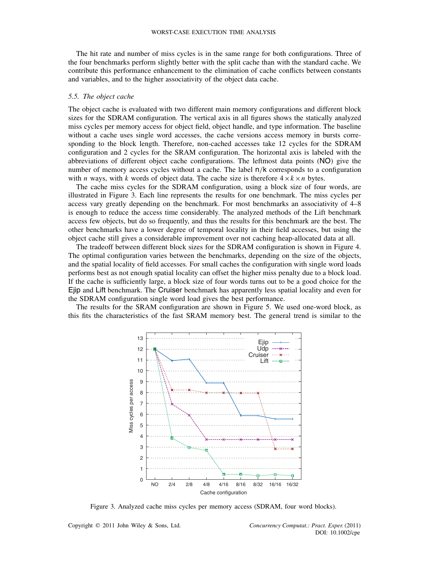The hit rate and number of miss cycles is in the same range for both configurations. Three of the four benchmarks perform slightly better with the split cache than with the standard cache. We contribute this performance enhancement to the elimination of cache conflicts between constants and variables, and to the higher associativity of the object data cache.

# *5.5. The object cache*

The object cache is evaluated with two different main memory configurations and different block sizes for the SDRAM configuration. The vertical axis in all figures shows the statically analyzed miss cycles per memory access for object field, object handle, and type information. The baseline without a cache uses single word accesses, the cache versions access memory in bursts corresponding to the block length. Therefore, non-cached accesses take 12 cycles for the SDRAM configuration and 2 cycles for the SRAM configuration. The horizontal axis is labeled with the abbreviations of different object cache configurations. The leftmost data points (NO) give the number of memory access cycles without a cache. The label n*/*k corresponds to a configuration with *n* ways, with *k* words of object data. The cache size is therefore  $4 \times k \times n$  bytes.

The cache miss cycles for the SDRAM configuration, using a block size of four words, are illustrated in Figure 3. Each line represents the results for one benchmark. The miss cycles per access vary greatly depending on the benchmark. For most benchmarks an associativity of 4–8 is enough to reduce the access time considerably. The analyzed methods of the Lift benchmark access few objects, but do so frequently, and thus the results for this benchmark are the best. The other benchmarks have a lower degree of temporal locality in their field accesses, but using the object cache still gives a considerable improvement over not caching heap-allocated data at all.

The tradeoff between different block sizes for the SDRAM configuration is shown in Figure 4. The optimal configuration varies between the benchmarks, depending on the size of the objects, and the spatial locality of field accesses. For small caches the configuration with single word loads performs best as not enough spatial locality can offset the higher miss penalty due to a block load. If the cache is sufficiently large, a block size of four words turns out to be a good choice for the Ejip and Lift benchmark. The Cruiser benchmark has apparently less spatial locality and even for the SDRAM configuration single word load gives the best performance.

The results for the SRAM configuration are shown in Figure 5. We used one-word block, as this fits the characteristics of the fast SRAM memory best. The general trend is similar to the



Figure 3. Analyzed cache miss cycles per memory access (SDRAM, four word blocks).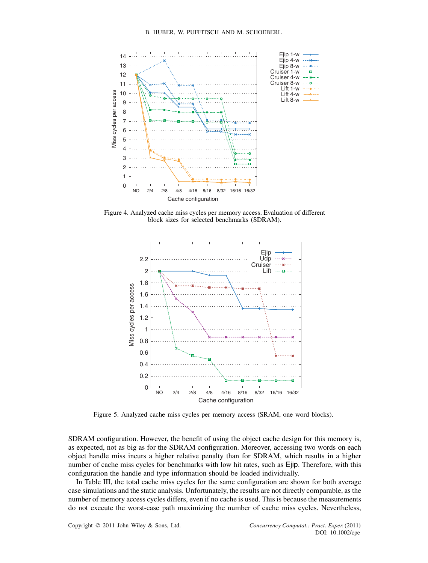

Figure 4. Analyzed cache miss cycles per memory access. Evaluation of different block sizes for selected benchmarks (SDRAM).



Figure 5. Analyzed cache miss cycles per memory access (SRAM, one word blocks).

SDRAM configuration. However, the benefit of using the object cache design for this memory is, as expected, not as big as for the SDRAM configuration. Moreover, accessing two words on each object handle miss incurs a higher relative penalty than for SDRAM, which results in a higher number of cache miss cycles for benchmarks with low hit rates, such as Ejip. Therefore, with this configuration the handle and type information should be loaded individually.

In Table III, the total cache miss cycles for the same configuration are shown for both average case simulations and the static analysis. Unfortunately, the results are not directly comparable, as the number of memory access cycles differs, even if no cache is used. This is because the measurements do not execute the worst-case path maximizing the number of cache miss cycles. Nevertheless,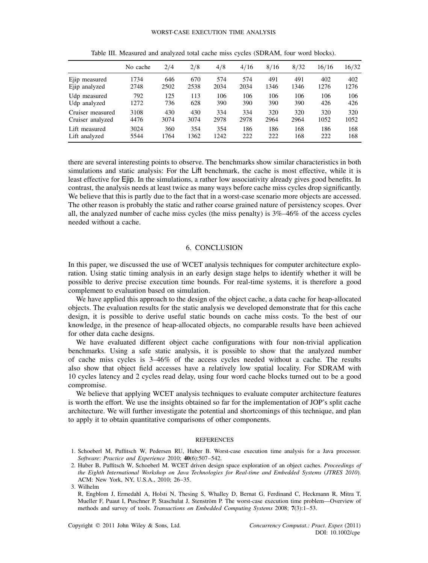#### WORST-CASE EXECUTION TIME ANALYSIS

|                  | No cache | 2/4  | 2/8  | 4/8  | 4/16 | 8/16 | 8/32 | 16/16 | 16/32 |
|------------------|----------|------|------|------|------|------|------|-------|-------|
| Ejip measured    | 1734     | 646  | 670  | 574  | 574  | 491  | 491  | 402   | 402   |
| Ejip analyzed    | 2748     | 2502 | 2538 | 2034 | 2034 | 1346 | 1346 | 1276  | 1276  |
| Udp measured     | 792      | 125  | 113  | 106  | 106  | 106  | 106  | 106   | 106   |
| Udp analyzed     | 1272     | 736  | 628  | 390  | 390  | 390  | 390  | 426   | 426   |
| Cruiser measured | 3108     | 430  | 430  | 334  | 334  | 320  | 320  | 320   | 320   |
| Cruiser analyzed | 4476     | 3074 | 3074 | 2978 | 2978 | 2964 | 2964 | 1052  | 1052  |
| Lift measured    | 3024     | 360  | 354  | 354  | 186  | 186  | 168  | 186   | 168   |
| Lift analyzed    | 5544     | 1764 | 1362 | 1242 | 222  | 222  | 168  | 222   | 168   |

Table III. Measured and analyzed total cache miss cycles (SDRAM, four word blocks).

there are several interesting points to observe. The benchmarks show similar characteristics in both simulations and static analysis: For the Lift benchmark, the cache is most effective, while it is least effective for Ejip. In the simulations, a rather low associativity already gives good benefits. In contrast, the analysis needs at least twice as many ways before cache miss cycles drop significantly. We believe that this is partly due to the fact that in a worst-case scenario more objects are accessed. The other reason is probably the static and rather coarse grained nature of persistency scopes. Over all, the analyzed number of cache miss cycles (the miss penalty) is  $3\% -46\%$  of the access cycles needed without a cache.

#### 6. CONCLUSION

In this paper, we discussed the use of WCET analysis techniques for computer architecture exploration. Using static timing analysis in an early design stage helps to identify whether it will be possible to derive precise execution time bounds. For real-time systems, it is therefore a good complement to evaluation based on simulation.

We have applied this approach to the design of the object cache, a data cache for heap-allocated objects. The evaluation results for the static analysis we developed demonstrate that for this cache design, it is possible to derive useful static bounds on cache miss costs. To the best of our knowledge, in the presence of heap-allocated objects, no comparable results have been achieved for other data cache designs.

We have evaluated different object cache configurations with four non-trivial application benchmarks. Using a safe static analysis, it is possible to show that the analyzed number of cache miss cycles is 3–46% of the access cycles needed without a cache. The results also show that object field accesses have a relatively low spatial locality. For SDRAM with 10 cycles latency and 2 cycles read delay, using four word cache blocks turned out to be a good compromise.

We believe that applying WCET analysis techniques to evaluate computer architecture features is worth the effort. We use the insights obtained so far for the implementation of JOP's split cache architecture. We will further investigate the potential and shortcomings of this technique, and plan to apply it to obtain quantitative comparisons of other components.

# **REFERENCES**

- 1. Schoeberl M, Puffitsch W, Pedersen RU, Huber B. Worst-case execution time analysis for a Java processor. *Software*: *Practice and Experience* 2010; **40**(6):507–542.
- 2. Huber B, Puffitsch W, Schoeberl M. WCET driven design space exploration of an object caches. *Proceedings of the Eighth International Workshop on Java Technologies for Real-time and Embedded Systems* (*JTRES 2010*). ACM: New York, NY, U.S.A., 2010; 26–35.

<sup>3.</sup> Wilhelm

R, Engblom J, Ermedahl A, Holsti N, Thesing S, Whalley D, Bernat G, Ferdinand C, Heckmann R, Mitra T, Mueller F, Puaut I, Puschner P, Staschulat J, Stenström P. The worst-case execution time problem—Overview of methods and survey of tools. *Transactions on Embedded Computing Systems* 2008; **7**(3):1–53.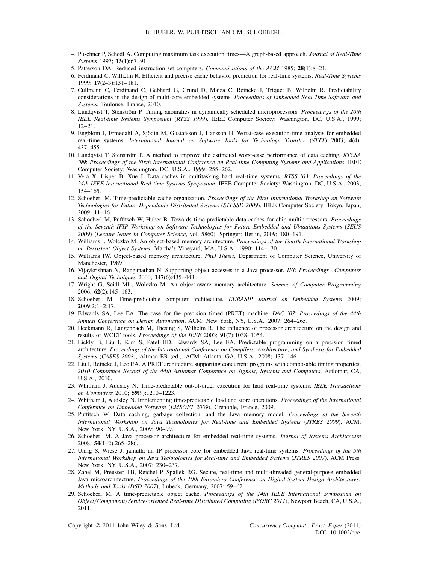- 4. Puschner P, Schedl A. Computing maximum task execution times—A graph-based approach. *Journal of Real-Time Systems* 1997; **13**(1):67–91.
- 5. Patterson DA. Reduced instruction set computers. *Communications of the ACM* 1985; **28**(1):8–21.
- 6. Ferdinand C, Wilhelm R. Efficient and precise cache behavior prediction for real-time systems. *Real-Time Systems* 1999; **17**(2–3):131–181.
- 7. Cullmann C, Ferdinand C, Gebhard G, Grund D, Maiza C, Reineke J, Triquet B, Wilhelm R. Predictability considerations in the design of multi-core embedded systems. *Proceedings of Embedded Real Time Software and Systems*, Toulouse, France, 2010.
- 8. Lundqvist T, Stenström P. Timing anomalies in dynamically scheduled microprocessors. *Proceedings of the 20th IEEE Real-time Systems Symposium* (*RTSS 1999*). IEEE Computer Society: Washington, DC, U.S.A., 1999;  $12 - 21$ .
- 9. Engblom J, Ermedahl A, Sjödin M, Gustafsson J, Hansson H. Worst-case execution-time analysis for embedded real-time systems. *International Journal on Software Tools for Technology Transfer* (*STTT*) 2003; **4**(4): 437–455.
- 10. Lundqvist T, Stenström P. A method to improve the estimated worst-case performance of data caching. *RTCSA '99*: *Proceedings of the Sixth International Conference on Real-time Computing Systems and Applications*. IEEE Computer Society: Washington, DC, U.S.A., 1999; 255–262.
- 11. Vera X, Lisper B, Xue J. Data caches in multitasking hard real-time systems. *RTSS '03*: *Proceedings of the 24th IEEE International Real-time Systems Symposium*. IEEE Computer Society: Washington, DC, U.S.A., 2003; 154–165.
- 12. Schoeberl M. Time-predictable cache organization. *Proceedings of the First International Workshop on Software Technologies for Future Dependable Distributed Systems* (*STFSSD 2009*). IEEE Computer Society: Tokyo, Japan, 2009; 11–16.
- 13. Schoeberl M, Puffitsch W, Huber B. Towards time-predictable data caches for chip-multiprocessors. *Proceedings of the Seventh IFIP Workshop on Software Technologies for Future Embedded and Ubiquitous Systems* (*SEUS 2009*) (*Lecture Notes in Computer Science*, vol. 5860). Springer: Berlin, 2009; 180–191.
- 14. Williams I, Wolczko M. An object-based memory architecture. *Proceedings of the Fourth International Workshop on Persistent Object Systems*, Martha's Vineyard, MA, U.S.A., 1990; 114–130.
- 15. Williams IW. Object-based memory architecture. *PhD Thesis*, Department of Computer Science, University of Manchester, 1989.
- 16. Vijaykrishnan N, Ranganathan N. Supporting object accesses in a Java processor. *IEE Proceedings—Computers and Digital Techniques* 2000; **147**(6):435–443.
- 17. Wright G, Seidl ML, Wolczko M. An object-aware memory architecture. *Science of Computer Programming* 2006; **62**(2):145–163.
- 18. Schoeberl M. Time-predictable computer architecture. *EURASIP Journal on Embedded Systems* 2009; **2009**:2:1–2:17.
- 19. Edwards SA, Lee EA. The case for the precision timed (PRET) machine. *DAC '07*: *Proceedings of the 44th Annual Conference on Design Automation*. ACM: New York, NY, U.S.A., 2007; 264–265.
- 20. Heckmann R, Langenbach M, Thesing S, Wilhelm R. The influence of processor architecture on the design and results of WCET tools. *Proceedings of the IEEE* 2003; **91**(7):1038–1054.
- 21. Lickly B, Liu I, Kim S, Patel HD, Edwards SA, Lee EA. Predictable programming on a precision timed architecture. *Proceedings of the International Conference on Compilers, Architecture, and Synthesis for Embedded Systems* (*CASES 2008*), Altman ER (ed.). ACM: Atlanta, GA, U.S.A., 2008; 137–146.
- 22. Liu I, Reineke J, Lee EA. A PRET architecture supporting concurrent programs with composable timing properties. *2010 Conference Record of the 44th Asilomar Conference on Signals, Systems and Computers*, Asilomar, CA, U.S.A., 2010.
- 23. Whitham J, Audsley N. Time-predictable out-of-order execution for hard real-time systems. *IEEE Transactions on Computers* 2010; **59**(9):1210–1223.
- 24. Whitham J, Audsley N. Implementing time-predictable load and store operations. *Proceedings of the International Conference on Embedded Software* (*EMSOFT 2009*), Grenoble, France, 2009.
- 25. Puffitsch W. Data caching, garbage collection, and the Java memory model. *Proceedings of the Seventh International Workshop on Java Technologies for Real-time and Embedded Systems* (*JTRES 2009*). ACM: New York, NY, U.S.A., 2009; 90–99.
- 26. Schoeberl M. A Java processor architecture for embedded real-time systems. *Journal of Systems Architecture* 2008; **54**(1–2):265–286.
- 27. Uhrig S, Wiese J. jamuth: an IP processor core for embedded Java real-time systems. *Proceedings of the 5th International Workshop on Java Technologies for Real-time and Embedded Systems* (*JTRES 2007*). ACM Press: New York, NY, U.S.A., 2007; 230–237.
- 28. Zabel M, Preusser TB, Reichel P, Spallek RG. Secure, real-time and multi-threaded general-purpose embedded Java microarchitecture. *Proceedings of the 10th Euromicro Conference on Digital System Design Architectures, Methods and Tools* (*DSD 2007*), Lübeck, Germany, 2007; 59–62.
- 29. Schoeberl M. A time-predictable object cache. *Proceedings of the 14th IEEE International Symposium on Object/Component/Service-oriented Real-time Distributed Computing* (*ISORC 2011*), Newport Beach, CA, U.S.A., 2011.